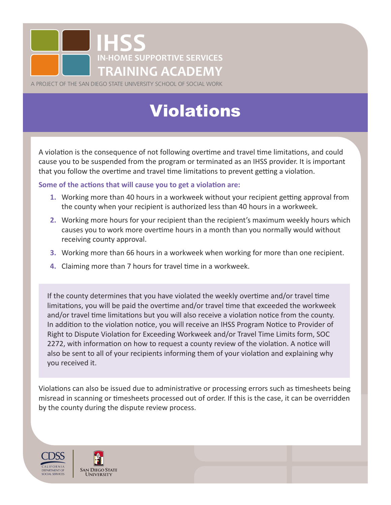

A PROJECT OF THE SAN DIEGO STATE UNIVERSITY SCHOOL OF SOCIAL WORK

## Violations

A violation is the consequence of not following overtime and travel time limitations, and could cause you to be suspended from the program or terminated as an IHSS provider. It is important that you follow the overtime and travel time limitations to prevent getting a violation.

**Some of the actions that will cause you to get a violation are:**

- **1.** Working more than 40 hours in a workweek without your recipient getting approval from the county when your recipient is authorized less than 40 hours in a workweek.
- **2.** Working more hours for your recipient than the recipient's maximum weekly hours which causes you to work more overtime hours in a month than you normally would without receiving county approval.
- **3.** Working more than 66 hours in a workweek when working for more than one recipient.
- **4.** Claiming more than 7 hours for travel time in a workweek.

If the county determines that you have violated the weekly overtime and/or travel time limitations, you will be paid the overtime and/or travel time that exceeded the workweek and/or travel time limitations but you will also receive a violation notice from the county. In addition to the violation notice, you will receive an IHSS Program Notice to Provider of Right to Dispute Violation for Exceeding Workweek and/or Travel Time Limits form, SOC 2272, with information on how to request a county review of the violation. A notice will also be sent to all of your recipients informing them of your violation and explaining why you received it.

Violations can also be issued due to administrative or processing errors such as timesheets being misread in scanning or timesheets processed out of order. If this is the case, it can be overridden by the county during the dispute review process.



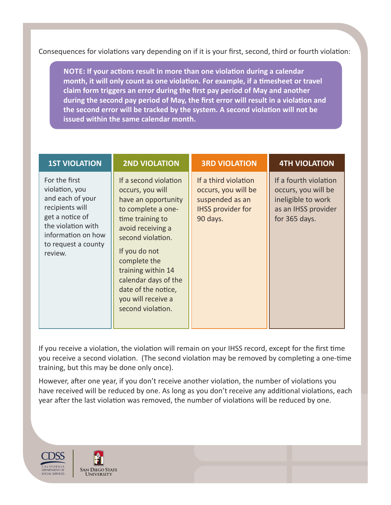Consequences for violations vary depending on if it is your first, second, third or fourth violation:

**NOTE: If your actions result in more than one violation during a calendar month, it will only count as one violation. For example, if a timesheet or travel claim form triggers an error during the first pay period of May and another during the second pay period of May, the first error will result in a violation and the second error will be tracked by the system. A second violation will not be issued within the same calendar month.**

| <b>1ST VIOLATION</b>                                                                                                                                                    | <b>2ND VIOLATION</b>                                                                                                                                                                                                                                                                                  | <b>3RD VIOLATION</b>                                                                                   | <b>4TH VIOLATION</b>                                                                                       |
|-------------------------------------------------------------------------------------------------------------------------------------------------------------------------|-------------------------------------------------------------------------------------------------------------------------------------------------------------------------------------------------------------------------------------------------------------------------------------------------------|--------------------------------------------------------------------------------------------------------|------------------------------------------------------------------------------------------------------------|
| For the first<br>violation, you<br>and each of your<br>recipients will<br>get a notice of<br>the violation with<br>information on how<br>to request a county<br>review. | If a second violation<br>occurs, you will<br>have an opportunity<br>to complete a one-<br>time training to<br>avoid receiving a<br>second violation.<br>If you do not<br>complete the<br>training within 14<br>calendar days of the<br>date of the notice,<br>you will receive a<br>second violation. | If a third violation<br>occurs, you will be<br>suspended as an<br><b>IHSS provider for</b><br>90 days. | If a fourth violation<br>occurs, you will be<br>ineligible to work<br>as an IHSS provider<br>for 365 days. |

If you receive a violation, the violation will remain on your IHSS record, except for the first time you receive a second violation. (The second violation may be removed by completing a one-time training, but this may be done only once).

However, after one year, if you don't receive another violation, the number of violations you have received will be reduced by one. As long as you don't receive any additional violations, each year after the last violation was removed, the number of violations will be reduced by one.

CALIFORNIA DEPARTMENT OF SOCIAL SERVICES

**SAN DIEGO STATE UNIVERSITY**